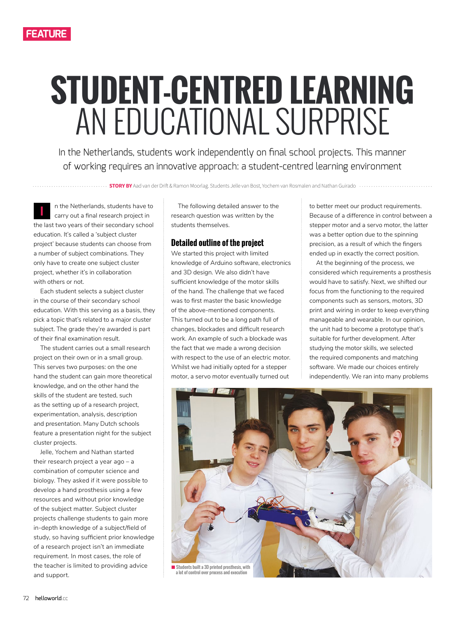# **STUDENT-CENTRED LEARNING**  AN EDUCATIONAL SURPRISE

In the Netherlands, students work independently on final school projects. This manner of working requires an innovative approach: a student-centred learning environment

**STORY BY** Aad van der Drift & Ramon Moorlag. Students Jelle van Bost, Yochem van Rosmalen and Nathan Guirado ...

n the Netherlands, students have to carry out a final research project in the last two years of their secondary school education. It's called a 'subject cluster project' because students can choose from a number of subject combinations. They only have to create one subject cluster project, whether it's in collaboration with others or not. **I**

Each student selects a subject cluster in the course of their secondary school education. With this serving as a basis, they pick a topic that's related to a major cluster subject. The grade they're awarded is part of their final examination result.

The student carries out a small research project on their own or in a small group. This serves two purposes: on the one hand the student can gain more theoretical knowledge, and on the other hand the skills of the student are tested, such as the setting up of a research project, experimentation, analysis, description and presentation. Many Dutch schools feature a presentation night for the subject cluster projects.

Jelle, Yochem and Nathan started their research project a year ago – a combination of computer science and biology. They asked if it were possible to develop a hand prosthesis using a few resources and without prior knowledge of the subject matter. Subject cluster projects challenge students to gain more in-depth knowledge of a subject/field of study, so having sufficient prior knowledge of a research project isn't an immediate requirement. In most cases, the role of the teacher is limited to providing advice and support.

The following detailed answer to the research question was written by the students themselves.

### **Detailed outline of the project**

We started this project with limited knowledge of Arduino software, electronics and 3D design. We also didn't have sufficient knowledge of the motor skills of the hand. The challenge that we faced was to first master the basic knowledge of the above-mentioned components. This turned out to be a long path full of changes, blockades and difficult research work. An example of such a blockade was the fact that we made a wrong decision with respect to the use of an electric motor. Whilst we had initially opted for a stepper motor, a servo motor eventually turned out

to better meet our product requirements. Because of a difference in control between a stepper motor and a servo motor, the latter was a better option due to the spinning precision, as a result of which the fingers ended up in exactly the correct position.

At the beginning of the process, we considered which requirements a prosthesis would have to satisfy. Next, we shifted our focus from the functioning to the required components such as sensors, motors, 3D print and wiring in order to keep everything manageable and wearable. In our opinion, the unit had to become a prototype that's suitable for further development. After studying the motor skills, we selected the required components and matching software. We made our choices entirely independently. We ran into many problems